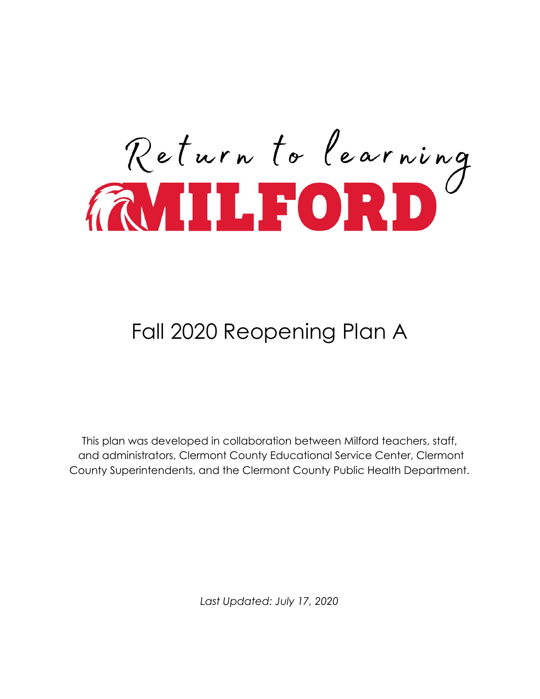

## Fall 2020 Reopening Plan A

This plan was developed in collaboration between Milford teachers, staff, and administrators, Clermont County Educational Service Center, Clermont County Superintendents, and the Clermont County Public Health Department.

*Last Updated: July 17, 2020*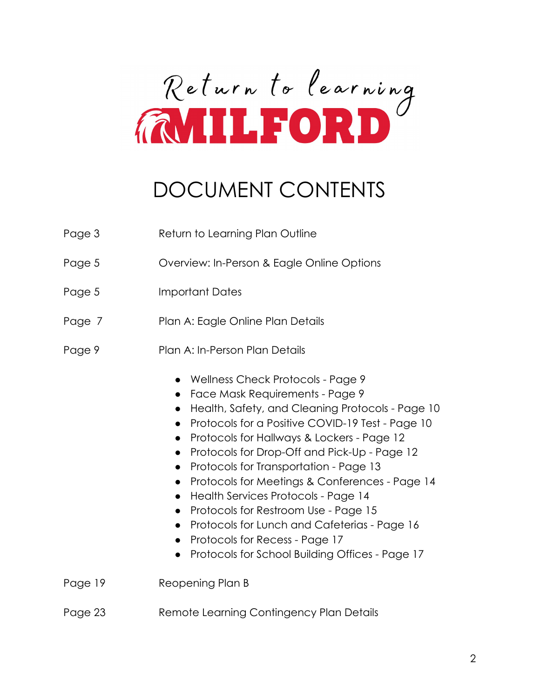

## DOCUMENT CONTENTS

| Page 3  | Return to Learning Plan Outline                                                                                                                                                                                                                                                                                                                                                                                                                                                                                                                                                                                                                                                                                        |  |
|---------|------------------------------------------------------------------------------------------------------------------------------------------------------------------------------------------------------------------------------------------------------------------------------------------------------------------------------------------------------------------------------------------------------------------------------------------------------------------------------------------------------------------------------------------------------------------------------------------------------------------------------------------------------------------------------------------------------------------------|--|
| Page 5  | Overview: In-Person & Eagle Online Options                                                                                                                                                                                                                                                                                                                                                                                                                                                                                                                                                                                                                                                                             |  |
| Page 5  | <b>Important Dates</b>                                                                                                                                                                                                                                                                                                                                                                                                                                                                                                                                                                                                                                                                                                 |  |
| Page 7  | Plan A: Eagle Online Plan Details                                                                                                                                                                                                                                                                                                                                                                                                                                                                                                                                                                                                                                                                                      |  |
| Page 9  | Plan A: In-Person Plan Details                                                                                                                                                                                                                                                                                                                                                                                                                                                                                                                                                                                                                                                                                         |  |
|         | <b>Wellness Check Protocols - Page 9</b><br>Face Mask Requirements - Page 9<br>Health, Safety, and Cleaning Protocols - Page 10<br>Protocols for a Positive COVID-19 Test - Page 10<br>$\bullet$<br>Protocols for Hallways & Lockers - Page 12<br>$\bullet$<br>Protocols for Drop-Off and Pick-Up - Page 12<br>$\bullet$<br>Protocols for Transportation - Page 13<br>$\bullet$<br>Protocols for Meetings & Conferences - Page 14<br>$\bullet$<br>Health Services Protocols - Page 14<br>$\bullet$<br>Protocols for Restroom Use - Page 15<br>$\bullet$<br>Protocols for Lunch and Cafeterias - Page 16<br>$\bullet$<br>Protocols for Recess - Page 17<br>Protocols for School Building Offices - Page 17<br>$\bullet$ |  |
| Page 19 | Reopening Plan B                                                                                                                                                                                                                                                                                                                                                                                                                                                                                                                                                                                                                                                                                                       |  |
| Page 23 | Remote Learning Contingency Plan Details                                                                                                                                                                                                                                                                                                                                                                                                                                                                                                                                                                                                                                                                               |  |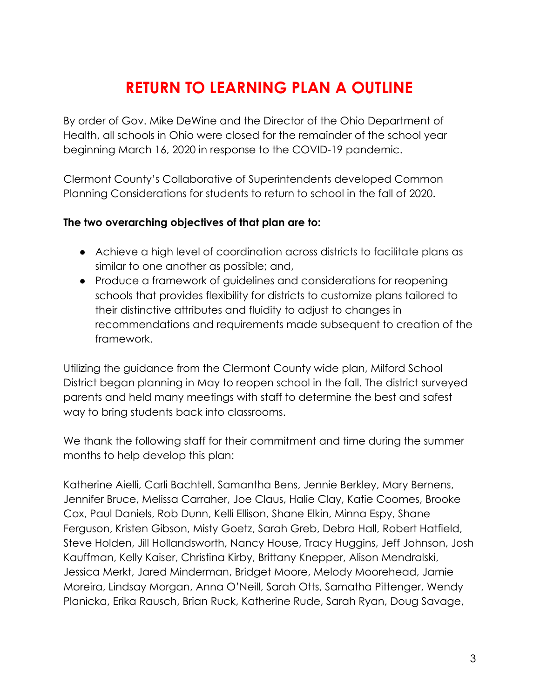## **RETURN TO LEARNING PLAN A OUTLINE**

By order of Gov. Mike DeWine and the Director of the Ohio Department of Health, all schools in Ohio were closed for the remainder of the school year beginning March 16, 2020 in response to the COVID-19 pandemic.

Clermont County's Collaborative of Superintendents developed Common Planning Considerations for students to return to school in the fall of 2020.

#### **The two overarching objectives of that plan are to:**

- Achieve a high level of coordination across districts to facilitate plans as similar to one another as possible; and,
- Produce a framework of guidelines and considerations for reopening schools that provides flexibility for districts to customize plans tailored to their distinctive attributes and fluidity to adjust to changes in recommendations and requirements made subsequent to creation of the framework.

Utilizing the guidance from the Clermont County wide plan, Milford School District began planning in May to reopen school in the fall. The district surveyed parents and held many meetings with staff to determine the best and safest way to bring students back into classrooms.

We thank the following staff for their commitment and time during the summer months to help develop this plan:

Katherine Aielli, Carli Bachtell, Samantha Bens, Jennie Berkley, Mary Bernens, Jennifer Bruce, Melissa Carraher, Joe Claus, Halie Clay, Katie Coomes, Brooke Cox, Paul Daniels, Rob Dunn, Kelli Ellison, Shane Elkin, Minna Espy, Shane Ferguson, Kristen Gibson, Misty Goetz, Sarah Greb, Debra Hall, Robert Hatfield, Steve Holden, Jill Hollandsworth, Nancy House, Tracy Huggins, Jeff Johnson, Josh Kauffman, Kelly Kaiser, Christina Kirby, Brittany Knepper, Alison Mendralski, Jessica Merkt, Jared Minderman, Bridget Moore, Melody Moorehead, Jamie Moreira, Lindsay Morgan, Anna O'Neill, Sarah Otts, Samatha Pittenger, Wendy Planicka, Erika Rausch, Brian Ruck, Katherine Rude, Sarah Ryan, Doug Savage,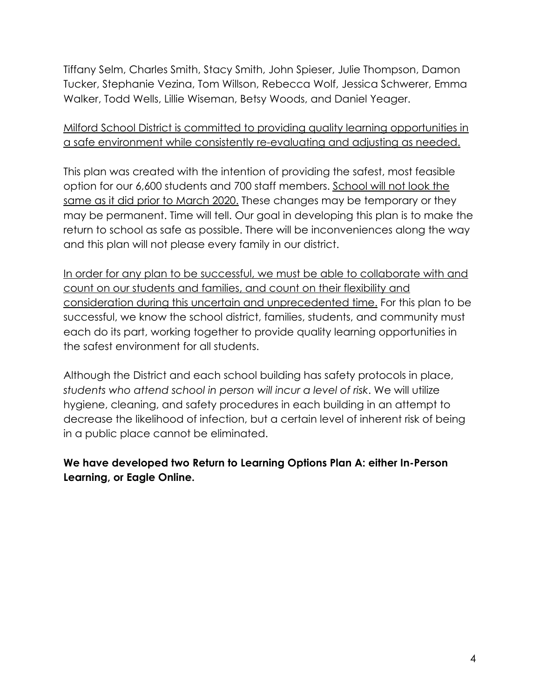Tiffany Selm, Charles Smith, Stacy Smith, John Spieser, Julie Thompson, Damon Tucker, Stephanie Vezina, Tom Willson, Rebecca Wolf, Jessica Schwerer, Emma Walker, Todd Wells, Lillie Wiseman, Betsy Woods, and Daniel Yeager.

#### Milford School District is committed to providing quality learning opportunities in a safe environment while consistently re-evaluating and adjusting as needed.

This plan was created with the intention of providing the safest, most feasible option for our 6,600 students and 700 staff members. School will not look the same as it did prior to March 2020. These changes may be temporary or they may be permanent. Time will tell. Our goal in developing this plan is to make the return to school as safe as possible. There will be inconveniences along the way and this plan will not please every family in our district.

In order for any plan to be successful, we must be able to collaborate with and count on our students and families, and count on their flexibility and consideration during this uncertain and unprecedented time. For this plan to be successful, we know the school district, families, students, and community must each do its part, working together to provide quality learning opportunities in the safest environment for all students.

Although the District and each school building has safety protocols in place, *students who attend school in person will incur a level of risk*. We will utilize hygiene, cleaning, and safety procedures in each building in an attempt to decrease the likelihood of infection, but a certain level of inherent risk of being in a public place cannot be eliminated.

**We have developed two Return to Learning Options Plan A: either In-Person Learning, or Eagle Online.**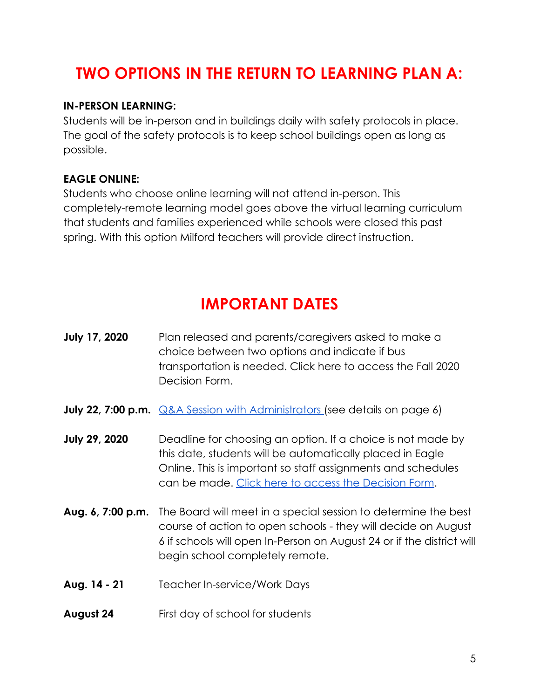## **TWO OPTIONS IN THE RETURN TO LEARNING PLAN A:**

#### **IN-PERSON LEARNING:**

Students will be in-person and in buildings daily with safety protocols in place. The goal of the safety protocols is to keep school buildings open as long as possible.

#### **EAGLE ONLINE:**

Students who choose online learning will not attend in-person. This completely-remote learning model goes above the virtual learning curriculum that students and families experienced while schools were closed this past spring. With this option Milford teachers will provide direct instruction.

### **IMPORTANT DATES**

| <b>July 17, 2020</b> | Plan released and parents/caregivers asked to make a<br>choice between two options and indicate if bus<br>transportation is needed. Click here to access the Fall 2020<br>Decision Form.                                                         |
|----------------------|--------------------------------------------------------------------------------------------------------------------------------------------------------------------------------------------------------------------------------------------------|
|                      | <b>July 22, 7:00 p.m. Q&amp;A Session with Administrators</b> (see details on page 6)                                                                                                                                                            |
| <b>July 29, 2020</b> | Deadline for choosing an option. If a choice is not made by<br>this date, students will be automatically placed in Eagle<br>Online. This is important so staff assignments and schedules<br>can be made. Click here to access the Decision Form. |
| Aug. 6, 7:00 p.m.    | The Board will meet in a special session to determine the best<br>course of action to open schools - they will decide on August<br>6 if schools will open In-Person on August 24 or if the district will<br>begin school completely remote.      |
| Aug. 14 - 21         | <b>Teacher In-service/Work Days</b>                                                                                                                                                                                                              |
| August 24            | First day of school for students                                                                                                                                                                                                                 |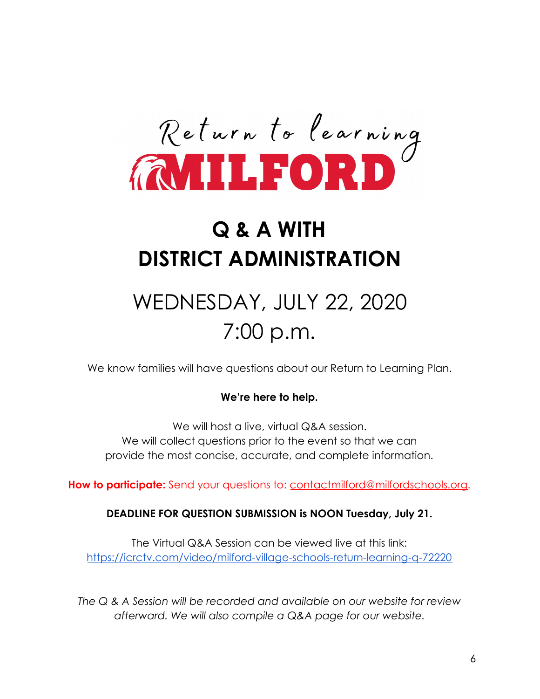

# **Q & A WITH DISTRICT ADMINISTRATION**

# WEDNESDAY, JULY 22, 2020 7:00 p.m.

We know families will have questions about our Return to Learning Plan.

#### **We're here to help.**

We will host a live, virtual Q&A session. We will collect questions prior to the event so that we can provide the most concise, accurate, and complete information.

**How to participate:** Send your questions to: [contactmilford@milfordschools.org](mailto:contactmilford@milfordschools.org).

#### **DEADLINE FOR QUESTION SUBMISSION is NOON Tuesday, July 21.**

The Virtual Q&A Session can be viewed live at this link: <https://icrctv.com/video/milford-village-schools-return-learning-q-72220>

*The Q & A Session will be recorded and available on our website for review afterward. We will also compile a Q&A page for our website.*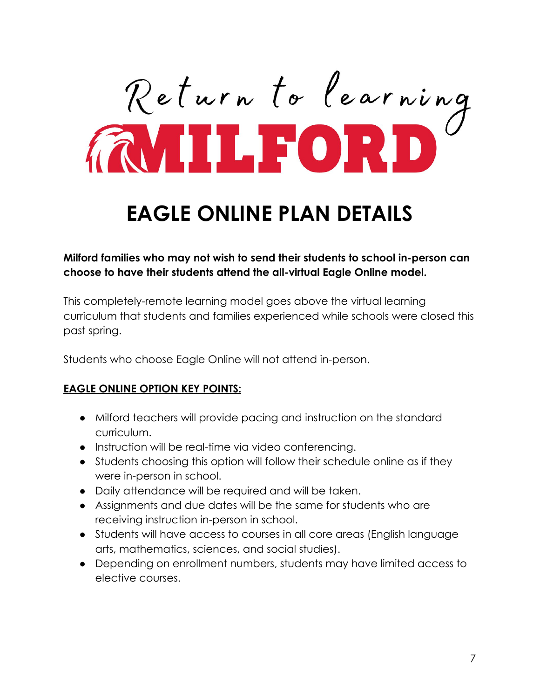Return to learning

# **EAGLE ONLINE PLAN DETAILS**

**Milford families who may not wish to send their students to school in-person can choose to have their students attend the all-virtual Eagle Online model.**

This completely-remote learning model goes above the virtual learning curriculum that students and families experienced while schools were closed this past spring.

Students who choose Eagle Online will not attend in-person.

#### **EAGLE ONLINE OPTION KEY POINTS:**

- Milford teachers will provide pacing and instruction on the standard curriculum.
- Instruction will be real-time via video conferencing.
- Students choosing this option will follow their schedule online as if they were in-person in school.
- Daily attendance will be required and will be taken.
- Assignments and due dates will be the same for students who are receiving instruction in-person in school.
- Students will have access to courses in all core areas (English language arts, mathematics, sciences, and social studies).
- Depending on enrollment numbers, students may have limited access to elective courses.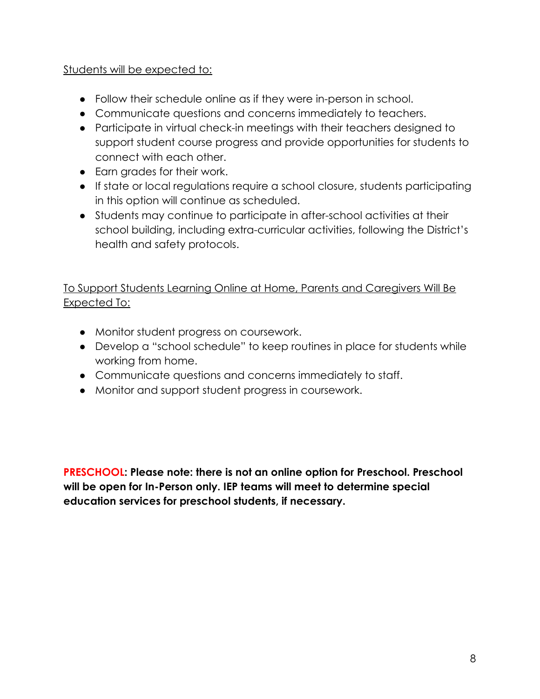#### Students will be expected to:

- Follow their schedule online as if they were in-person in school.
- Communicate questions and concerns immediately to teachers.
- Participate in virtual check-in meetings with their teachers designed to support student course progress and provide opportunities for students to connect with each other.
- Earn grades for their work.
- If state or local regulations require a school closure, students participating in this option will continue as scheduled.
- Students may continue to participate in after-school activities at their school building, including extra-curricular activities, following the District's health and safety protocols.

#### To Support Students Learning Online at Home, Parents and Caregivers Will Be Expected To:

- Monitor student progress on coursework.
- Develop a "school schedule" to keep routines in place for students while working from home.
- Communicate questions and concerns immediately to staff.
- Monitor and support student progress in coursework.

**PRESCHOOL: Please note: there is not an online option for Preschool. Preschool will be open for In-Person only. IEP teams will meet to determine special education services for preschool students, if necessary.**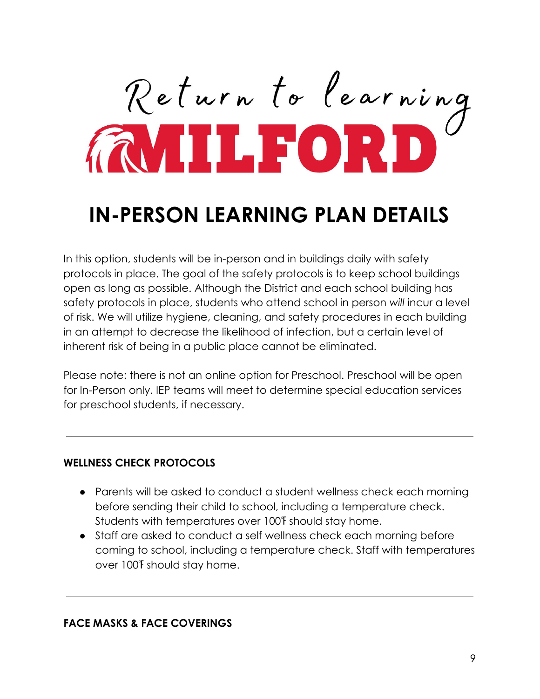Return to learning

## **IN-PERSON LEARNING PLAN DETAILS**

In this option, students will be in-person and in buildings daily with safety protocols in place. The goal of the safety protocols is to keep school buildings open as long as possible. Although the District and each school building has safety protocols in place, students who attend school in person *will* incur a level of risk. We will utilize hygiene, cleaning, and safety procedures in each building in an attempt to decrease the likelihood of infection, but a certain level of inherent risk of being in a public place cannot be eliminated.

Please note: there is not an online option for Preschool. Preschool will be open for In-Person only. IEP teams will meet to determine special education services for preschool students, if necessary.

#### **WELLNESS CHECK PROTOCOLS**

- Parents will be asked to conduct a student wellness check each morning before sending their child to school, including a temperature check. Students with temperatures over 100℉ should stay home.
- Staff are asked to conduct a self wellness check each morning before coming to school, including a temperature check. Staff with temperatures over 100℉ should stay home.

#### **FACE MASKS & FACE COVERINGS**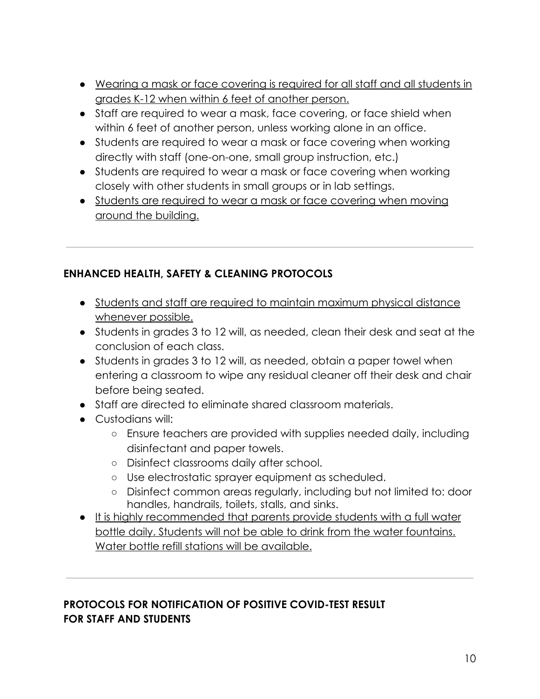- Wearing a mask or face covering is required for all staff and all students in grades K-12 when within 6 feet of another person.
- Staff are required to wear a mask, face covering, or face shield when within 6 feet of another person, unless working alone in an office.
- Students are required to wear a mask or face covering when working directly with staff (one-on-one, small group instruction, etc.)
- Students are required to wear a mask or face covering when working closely with other students in small groups or in lab settings.
- Students are required to wear a mask or face covering when moving around the building.

#### **ENHANCED HEALTH, SAFETY & CLEANING PROTOCOLS**

- Students and staff are required to maintain maximum physical distance whenever possible.
- Students in grades 3 to 12 will, as needed, clean their desk and seat at the conclusion of each class.
- Students in grades 3 to 12 will, as needed, obtain a paper towel when entering a classroom to wipe any residual cleaner off their desk and chair before being seated.
- Staff are directed to eliminate shared classroom materials.
- Custodians will:
	- Ensure teachers are provided with supplies needed daily, including disinfectant and paper towels.
	- Disinfect classrooms daily after school.
	- Use electrostatic sprayer equipment as scheduled.
	- Disinfect common areas regularly, including but not limited to: door handles, handrails, toilets, stalls, and sinks.
- It is highly recommended that parents provide students with a full water bottle daily. Students will not be able to drink from the water fountains. Water bottle refill stations will be available.

#### **PROTOCOLS FOR NOTIFICATION OF POSITIVE COVID-TEST RESULT FOR STAFF AND STUDENTS**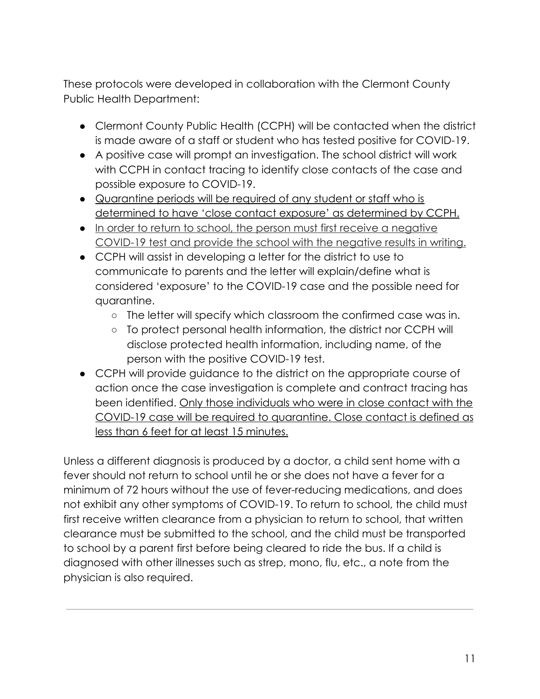These protocols were developed in collaboration with the Clermont County Public Health Department:

- Clermont County Public Health (CCPH) will be contacted when the district is made aware of a staff or student who has tested positive for COVID-19.
- A positive case will prompt an investigation. The school district will work with CCPH in contact tracing to identify close contacts of the case and possible exposure to COVID-19.
- Quarantine periods will be required of any student or staff who is determined to have 'close contact exposure' as determined by CCPH.
- In order to return to school, the person must first receive a negative COVID-19 test and provide the school with the negative results in writing.
- CCPH will assist in developing a letter for the district to use to communicate to parents and the letter will explain/define what is considered 'exposure' to the COVID-19 case and the possible need for quarantine.
	- The letter will specify which classroom the confirmed case was in.
	- To protect personal health information, the district nor CCPH will disclose protected health information, including name, of the person with the positive COVID-19 test.
- CCPH will provide guidance to the district on the appropriate course of action once the case investigation is complete and contract tracing has been identified. Only those individuals who were in close contact with the COVID-19 case will be required to quarantine. Close contact is defined as less than 6 feet for at least 15 minutes.

Unless a different diagnosis is produced by a doctor, a child sent home with a fever should not return to school until he or she does not have a fever for a minimum of 72 hours without the use of fever-reducing medications, and does not exhibit any other symptoms of COVID-19. To return to school, the child must first receive written clearance from a physician to return to school, that written clearance must be submitted to the school, and the child must be transported to school by a parent first before being cleared to ride the bus. If a child is diagnosed with other illnesses such as strep, mono, flu, etc., a note from the physician is also required.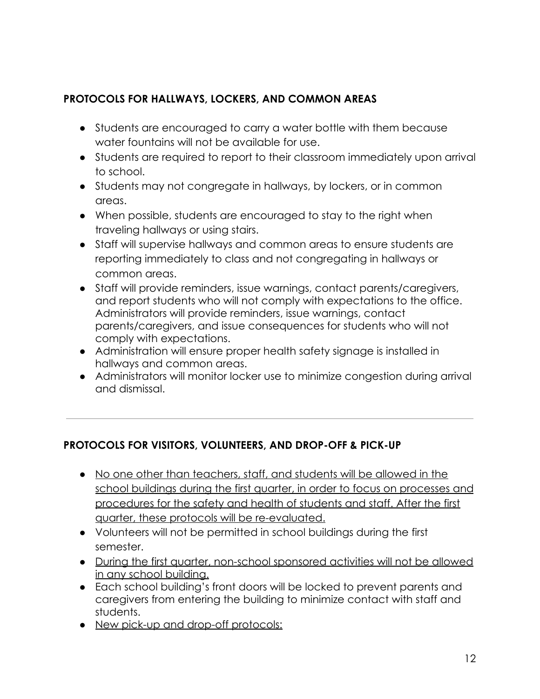#### **PROTOCOLS FOR HALLWAYS, LOCKERS, AND COMMON AREAS**

- Students are encouraged to carry a water bottle with them because water fountains will not be available for use.
- Students are required to report to their classroom immediately upon arrival to school.
- Students may not congregate in hallways, by lockers, or in common areas.
- When possible, students are encouraged to stay to the right when traveling hallways or using stairs.
- Staff will supervise hallways and common areas to ensure students are reporting immediately to class and not congregating in hallways or common areas.
- Staff will provide reminders, issue warnings, contact parents/caregivers, and report students who will not comply with expectations to the office. Administrators will provide reminders, issue warnings, contact parents/caregivers, and issue consequences for students who will not comply with expectations.
- Administration will ensure proper health safety signage is installed in hallways and common areas.
- Administrators will monitor locker use to minimize congestion during arrival and dismissal.

#### **PROTOCOLS FOR VISITORS, VOLUNTEERS, AND DROP-OFF & PICK-UP**

- No one other than teachers, staff, and students will be allowed in the school buildings during the first quarter, in order to focus on processes and procedures for the safety and health of students and staff. After the first quarter, these protocols will be re-evaluated.
- Volunteers will not be permitted in school buildings during the first semester.
- During the first quarter, non-school sponsored activities will not be allowed in any school building.
- Each school building's front doors will be locked to prevent parents and caregivers from entering the building to minimize contact with staff and students.
- New pick-up and drop-off protocols: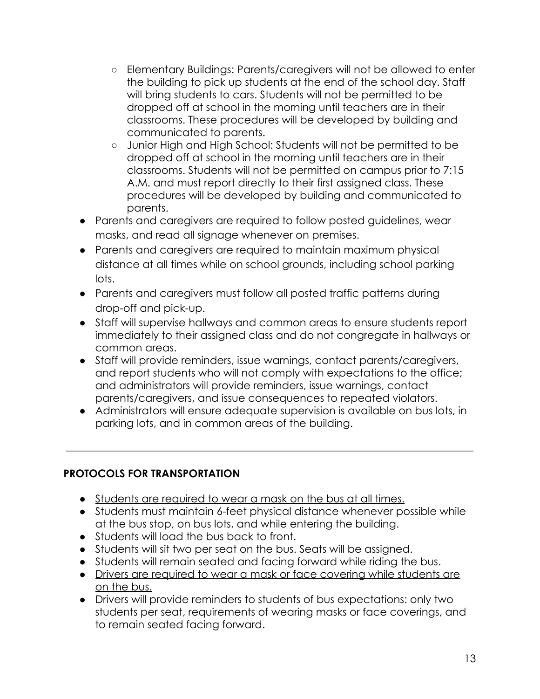- Elementary Buildings: Parents/caregivers will not be allowed to enter the building to pick up students at the end of the school day. Staff will bring students to cars. Students will not be permitted to be dropped off at school in the morning until teachers are in their classrooms. These procedures will be developed by building and communicated to parents.
- Junior High and High School: Students will not be permitted to be dropped off at school in the morning until teachers are in their classrooms. Students will not be permitted on campus prior to 7:15 A.M. and must report directly to their first assigned class. These procedures will be developed by building and communicated to parents.
- Parents and caregivers are required to follow posted guidelines, wear masks, and read all signage whenever on premises.
- Parents and caregivers are required to maintain maximum physical distance at all times while on school grounds, including school parking lots.
- Parents and caregivers must follow all posted traffic patterns during drop-off and pick-up.
- Staff will supervise hallways and common areas to ensure students report immediately to their assigned class and do not congregate in hallways or common areas.
- Staff will provide reminders, issue warnings, contact parents/caregivers, and report students who will not comply with expectations to the office; and administrators will provide reminders, issue warnings, contact parents/caregivers, and issue consequences to repeated violators.
- Administrators will ensure adequate supervision is available on bus lots, in parking lots, and in common areas of the building.

#### **PROTOCOLS FOR TRANSPORTATION**

- Students are required to wear a mask on the bus at all times.
- Students must maintain 6-feet physical distance whenever possible while at the bus stop, on bus lots, and while entering the building.
- Students will load the bus back to front.
- Students will sit two per seat on the bus. Seats will be assigned.
- Students will remain seated and facing forward while riding the bus.
- Drivers are required to wear a mask or face covering while students are on the bus.
- Drivers will provide reminders to students of bus expectations: only two students per seat, requirements of wearing masks or face coverings, and to remain seated facing forward.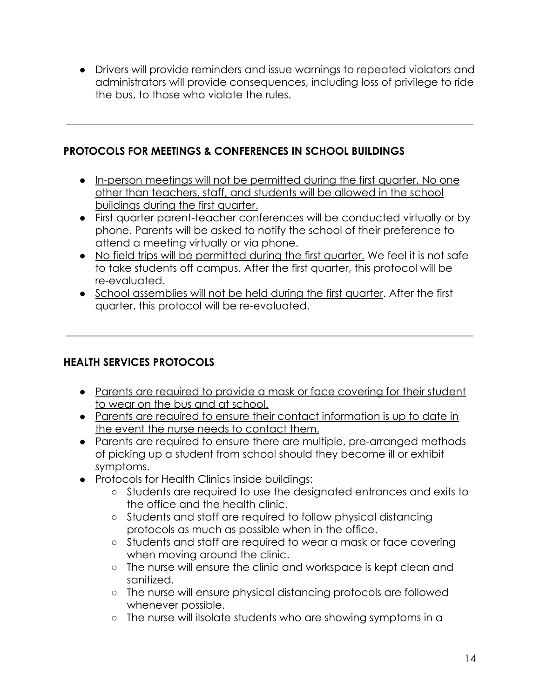● Drivers will provide reminders and issue warnings to repeated violators and administrators will provide consequences, including loss of privilege to ride the bus, to those who violate the rules.

#### **PROTOCOLS FOR MEETINGS & CONFERENCES IN SCHOOL BUILDINGS**

- In-person meetings will not be permitted during the first quarter. No one other than teachers, staff, and students will be allowed in the school buildings during the first quarter.
- First quarter parent-teacher conferences will be conducted virtually or by phone. Parents will be asked to notify the school of their preference to attend a meeting virtually or via phone.
- No field trips will be permitted during the first quarter. We feel it is not safe to take students off campus. After the first quarter, this protocol will be re-evaluated.
- School assemblies will not be held during the first quarter. After the first quarter, this protocol will be re-evaluated.

#### **HEALTH SERVICES PROTOCOLS**

- Parents are required to provide a mask or face covering for their student to wear on the bus and at school.
- Parents are required to ensure their contact information is up to date in the event the nurse needs to contact them.
- Parents are required to ensure there are multiple, pre-arranged methods of picking up a student from school should they become ill or exhibit symptoms.
- Protocols for Health Clinics inside buildings:
	- Students are required to use the designated entrances and exits to the office and the health clinic.
	- Students and staff are required to follow physical distancing protocols as much as possible when in the office.
	- Students and staff are required to wear a mask or face covering when moving around the clinic.
	- The nurse will ensure the clinic and workspace is kept clean and sanitized.
	- The nurse will ensure physical distancing protocols are followed whenever possible.
	- The nurse will iIsolate students who are showing symptoms in a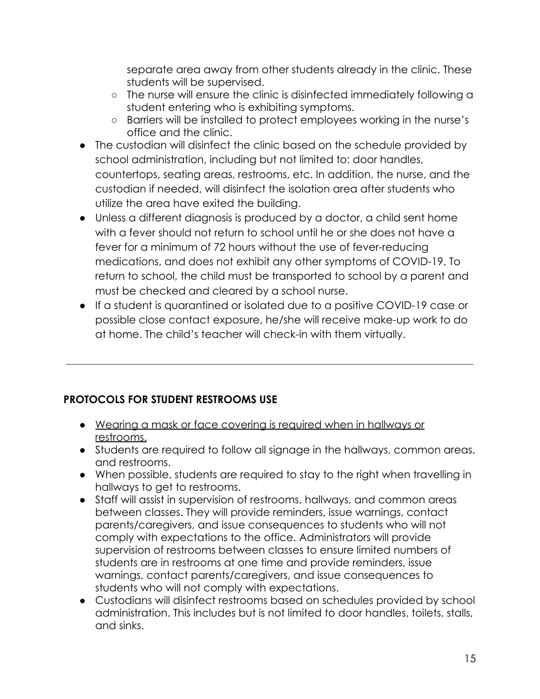separate area away from other students already in the clinic. These students will be supervised.

- The nurse will ensure the clinic is disinfected immediately following a student entering who is exhibiting symptoms.
- Barriers will be installed to protect employees working in the nurse's office and the clinic.
- The custodian will disinfect the clinic based on the schedule provided by school administration, including but not limited to: door handles, countertops, seating areas, restrooms, etc. In addition, the nurse, and the custodian if needed, will disinfect the isolation area after students who utilize the area have exited the building.
- Unless a different diagnosis is produced by a doctor, a child sent home with a fever should not return to school until he or she does not have a fever for a minimum of 72 hours without the use of fever-reducing medications, and does not exhibit any other symptoms of COVID-19. To return to school, the child must be transported to school by a parent and must be checked and cleared by a school nurse.
- If a student is quarantined or isolated due to a positive COVID-19 case or possible close contact exposure, he/she will receive make-up work to do at home. The child's teacher will check-in with them virtually.

#### **PROTOCOLS FOR STUDENT RESTROOMS USE**

- Wearing a mask or face covering is required when in hallways or restrooms.
- Students are required to follow all signage in the hallways, common areas, and restrooms.
- When possible, students are required to stay to the right when travelling in hallways to get to restrooms.
- Staff will assist in supervision of restrooms, hallways, and common areas between classes. They will provide reminders, issue warnings, contact parents/caregivers, and issue consequences to students who will not comply with expectations to the office. Administrators will provide supervision of restrooms between classes to ensure limited numbers of students are in restrooms at one time and provide reminders, issue warnings, contact parents/caregivers, and issue consequences to students who will not comply with expectations.
- Custodians will disinfect restrooms based on schedules provided by school administration. This includes but is not limited to door handles, toilets, stalls, and sinks.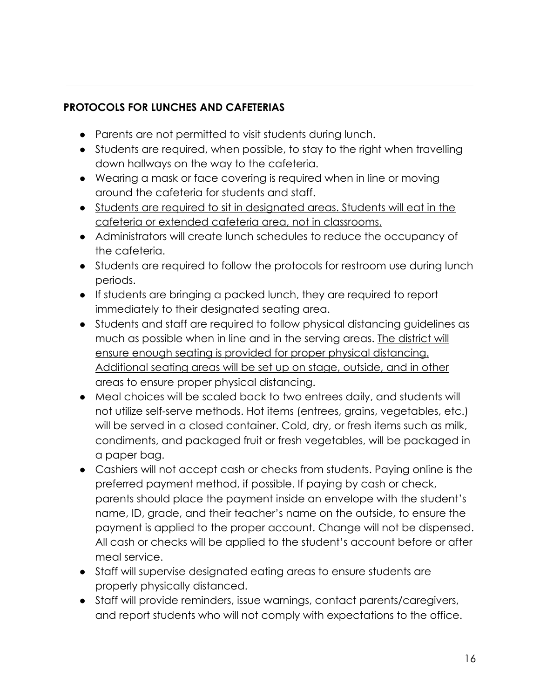#### **PROTOCOLS FOR LUNCHES AND CAFETERIAS**

- Parents are not permitted to visit students during lunch.
- Students are required, when possible, to stay to the right when travelling down hallways on the way to the cafeteria.
- Wearing a mask or face covering is required when in line or moving around the cafeteria for students and staff.
- Students are required to sit in designated areas. Students will eat in the cafeteria or extended cafeteria area, not in classrooms.
- Administrators will create lunch schedules to reduce the occupancy of the cafeteria.
- Students are required to follow the protocols for restroom use during lunch periods.
- If students are bringing a packed lunch, they are required to report immediately to their designated seating area.
- Students and staff are required to follow physical distancing guidelines as much as possible when in line and in the serving areas. The district will ensure enough seating is provided for proper physical distancing. Additional seating areas will be set up on stage, outside, and in other areas to ensure proper physical distancing.
- Meal choices will be scaled back to two entrees daily, and students will not utilize self-serve methods. Hot items (entrees, grains, vegetables, etc.) will be served in a closed container. Cold, dry, or fresh items such as milk, condiments, and packaged fruit or fresh vegetables, will be packaged in a paper bag.
- Cashiers will not accept cash or checks from students. Paying online is the preferred payment method, if possible. If paying by cash or check, parents should place the payment inside an envelope with the student's name, ID, grade, and their teacher's name on the outside, to ensure the payment is applied to the proper account. Change will not be dispensed. All cash or checks will be applied to the student's account before or after meal service.
- Staff will supervise designated eating areas to ensure students are properly physically distanced.
- Staff will provide reminders, issue warnings, contact parents/caregivers, and report students who will not comply with expectations to the office.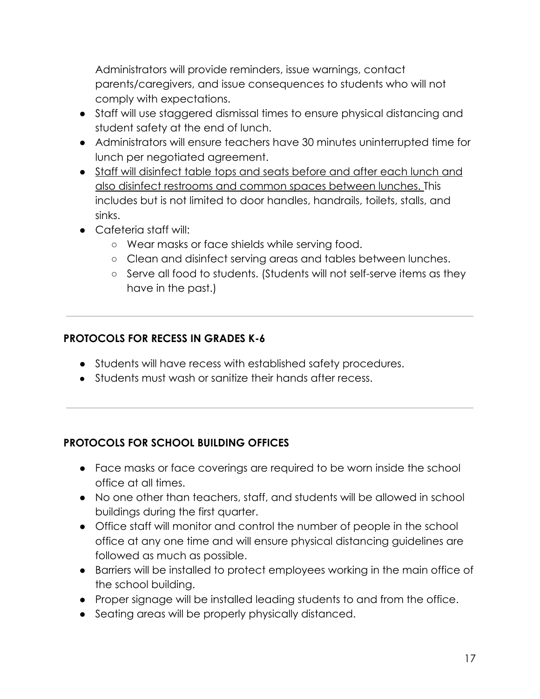Administrators will provide reminders, issue warnings, contact parents/caregivers, and issue consequences to students who will not comply with expectations.

- Staff will use staggered dismissal times to ensure physical distancing and student safety at the end of lunch.
- Administrators will ensure teachers have 30 minutes uninterrupted time for lunch per negotiated agreement.
- Staff will disinfect table tops and seats before and after each lunch and also disinfect restrooms and common spaces between lunches. This includes but is not limited to door handles, handrails, toilets, stalls, and sinks.
- Cafeteria staff will:
	- Wear masks or face shields while serving food.
	- Clean and disinfect serving areas and tables between lunches.
	- Serve all food to students. (Students will not self-serve items as they have in the past.)

#### **PROTOCOLS FOR RECESS IN GRADES K-6**

- Students will have recess with established safety procedures.
- Students must wash or sanitize their hands after recess.

#### **PROTOCOLS FOR SCHOOL BUILDING OFFICES**

- Face masks or face coverings are required to be worn inside the school office at all times.
- No one other than teachers, staff, and students will be allowed in school buildings during the first quarter.
- Office staff will monitor and control the number of people in the school office at any one time and will ensure physical distancing guidelines are followed as much as possible.
- Barriers will be installed to protect employees working in the main office of the school building.
- Proper signage will be installed leading students to and from the office.
- Seating areas will be properly physically distanced.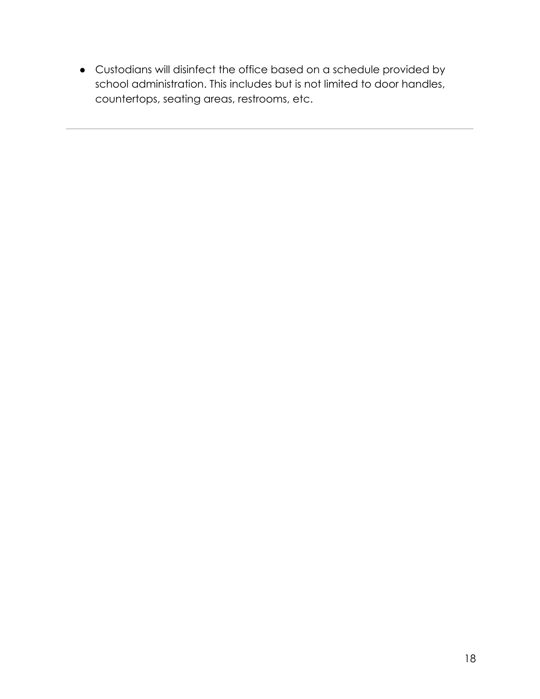● Custodians will disinfect the office based on a schedule provided by school administration. This includes but is not limited to door handles, countertops, seating areas, restrooms, etc.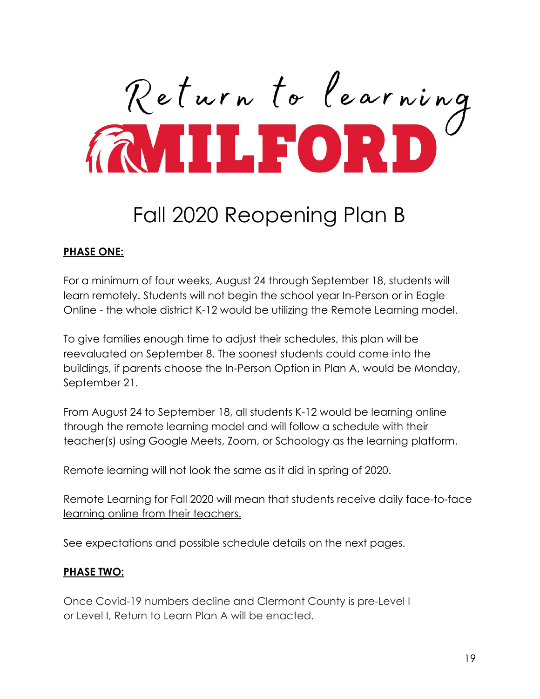Return to learning

## Fall 2020 Reopening Plan B

#### **PHASE ONE:**

For a minimum of four weeks, August 24 through September 18, students will learn remotely. Students will not begin the school year In-Person or in Eagle Online - the whole district K-12 would be utilizing the Remote Learning model.

To give families enough time to adjust their schedules, this plan will be reevaluated on September 8. The soonest students could come into the buildings, if parents choose the In-Person Option in Plan A, would be Monday, September 21.

From August 24 to September 18, all students K-12 would be learning online through the remote learning model and will follow a schedule with their teacher(s) using Google Meets, Zoom, or Schoology as the learning platform.

Remote learning will not look the same as it did in spring of 2020.

Remote Learning for Fall 2020 will mean that students receive daily face-to-face learning online from their teachers.

See expectations and possible schedule details on the next pages.

#### **PHASE TWO:**

Once Covid-19 numbers decline and Clermont County is pre-Level I or Level I, Return to Learn Plan A will be enacted.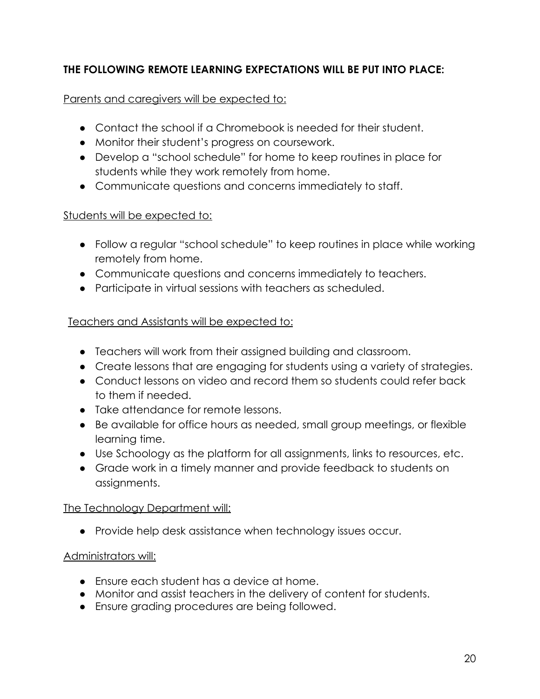#### **THE FOLLOWING REMOTE LEARNING EXPECTATIONS WILL BE PUT INTO PLACE:**

#### Parents and caregivers will be expected to:

- Contact the school if a Chromebook is needed for their student.
- Monitor their student's progress on coursework.
- Develop a "school schedule" for home to keep routines in place for students while they work remotely from home.
- Communicate questions and concerns immediately to staff.

#### Students will be expected to:

- Follow a regular "school schedule" to keep routines in place while working remotely from home.
- Communicate questions and concerns immediately to teachers.
- Participate in virtual sessions with teachers as scheduled.

#### Teachers and Assistants will be expected to:

- Teachers will work from their assigned building and classroom.
- Create lessons that are engaging for students using a variety of strategies.
- Conduct lessons on video and record them so students could refer back to them if needed.
- Take attendance for remote lessons.
- Be available for office hours as needed, small group meetings, or flexible learning time.
- Use Schoology as the platform for all assignments, links to resources, etc.
- Grade work in a timely manner and provide feedback to students on assignments.

#### The Technology Department will:

● Provide help desk assistance when technology issues occur.

#### Administrators will:

- Ensure each student has a device at home.
- Monitor and assist teachers in the delivery of content for students.
- Ensure grading procedures are being followed.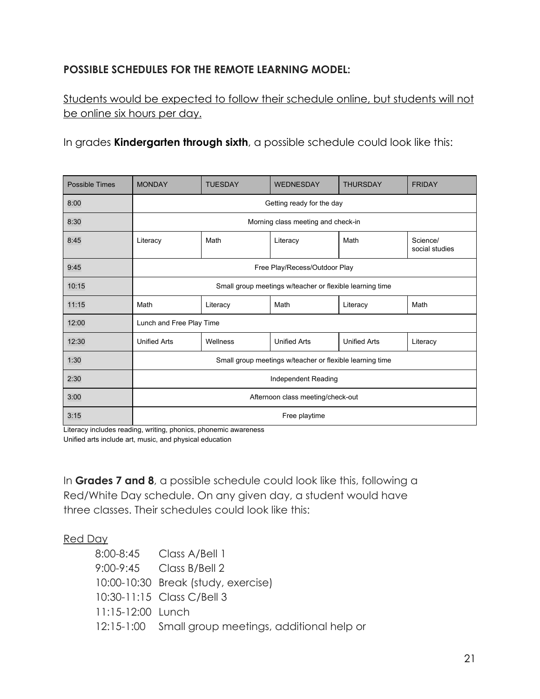#### **POSSIBLE SCHEDULES FOR THE REMOTE LEARNING MODEL:**

Students would be expected to follow their schedule online, but students will not be online six hours per day.

In grades **Kindergarten through sixth**, a possible schedule could look like this:

| <b>Possible Times</b> | <b>MONDAY</b>                                            | <b>TUESDAY</b> | <b>WEDNESDAY</b>    | <b>THURSDAY</b>     | <b>FRIDAY</b>              |
|-----------------------|----------------------------------------------------------|----------------|---------------------|---------------------|----------------------------|
| 8:00                  | Getting ready for the day                                |                |                     |                     |                            |
| 8:30                  | Morning class meeting and check-in                       |                |                     |                     |                            |
| 8:45                  | Literacy                                                 | Math           | Literacy            | Math                | Science/<br>social studies |
| 9:45                  | Free Play/Recess/Outdoor Play                            |                |                     |                     |                            |
| 10:15                 | Small group meetings w/teacher or flexible learning time |                |                     |                     |                            |
| 11:15                 | Math                                                     | Literacy       | Math                | Literacy            | Math                       |
| 12:00                 | Lunch and Free Play Time                                 |                |                     |                     |                            |
| 12:30                 | <b>Unified Arts</b>                                      | Wellness       | <b>Unified Arts</b> | <b>Unified Arts</b> | Literacy                   |
| 1:30                  | Small group meetings w/teacher or flexible learning time |                |                     |                     |                            |
| 2:30                  | Independent Reading                                      |                |                     |                     |                            |
| 3:00                  | Afternoon class meeting/check-out                        |                |                     |                     |                            |
| 3:15                  | Free playtime                                            |                |                     |                     |                            |

Literacy includes reading, writing, phonics, phonemic awareness

Unified arts include art, music, and physical education

In **Grades 7 and 8**, a possible schedule could look like this, following a Red/White Day schedule. On any given day, a student would have three classes. Their schedules could look like this:

#### Red Day

|                     | 8:00-8:45 Class A/Bell 1                            |
|---------------------|-----------------------------------------------------|
|                     | 9:00-9:45 Class B/Bell 2                            |
|                     | 10:00-10:30 Break (study, exercise)                 |
|                     | 10:30-11:15 Class C/Bell 3                          |
| $11:15-12:00$ Lunch |                                                     |
|                     | 12:15-1:00 Small group meetings, additional help or |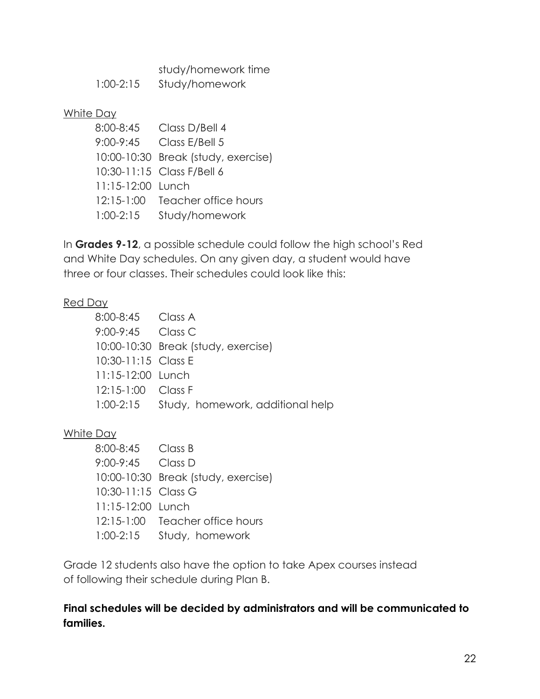study/homework time

| $1:00-2:15$ | Study/homework |
|-------------|----------------|
|-------------|----------------|

#### White Day

| 8:00-8:45         | Class D/Bell 4                      |
|-------------------|-------------------------------------|
|                   | 9:00-9:45 Class E/Bell 5            |
|                   | 10:00-10:30 Break (study, exercise) |
|                   | 10:30-11:15 Class F/Bell 6          |
| 11:15-12:00 Lunch |                                     |
|                   | 12:15-1:00 Teacher office hours     |
| $1:00 - 2:15$     | Study/homework                      |
|                   |                                     |

In **Grades 9-12**, a possible schedule could follow the high school's Red and White Day schedules. On any given day, a student would have three or four classes. Their schedules could look like this:

#### Red Day

| 8:00-8:45 Class A    |                                            |
|----------------------|--------------------------------------------|
| 9:00-9:45 Class C    |                                            |
|                      | 10:00-10:30 Break (study, exercise)        |
| 10:30-11:15 Class E  |                                            |
| 11:15-12:00 Lunch    |                                            |
| $12:15-1:00$ Class F |                                            |
|                      | 1:00-2:15 Study, homework, additional help |

#### White Day

| 8:00-8:45 Class B   |                                     |
|---------------------|-------------------------------------|
| 9:00-9:45 Class D   |                                     |
|                     | 10:00-10:30 Break (study, exercise) |
| 10:30-11:15 Class G |                                     |
| 11:15-12:00 Lunch   |                                     |
|                     | 12:15-1:00 Teacher office hours     |
|                     | 1:00-2:15 Study, homework           |

Grade 12 students also have the option to take Apex courses instead of following their schedule during Plan B.

#### **Final schedules will be decided by administrators and will be communicated to families.**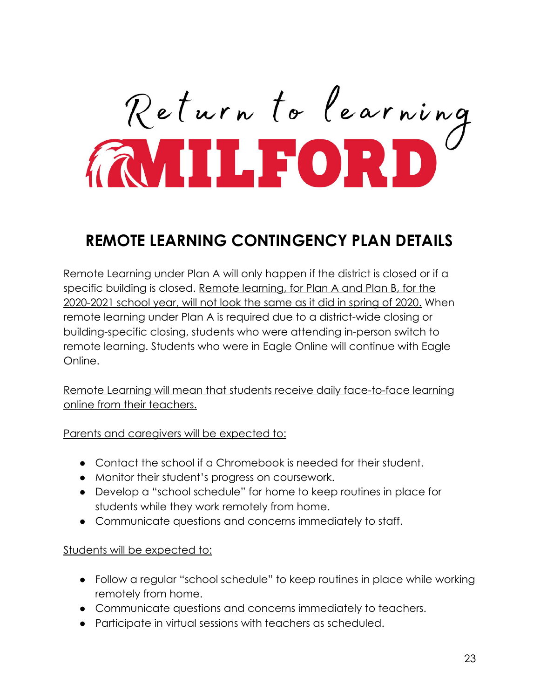# Return to learning

## **REMOTE LEARNING CONTINGENCY PLAN DETAILS**

Remote Learning under Plan A will only happen if the district is closed or if a specific building is closed. Remote learning, for Plan A and Plan B, for the 2020-2021 school year, will not look the same as it did in spring of 2020. When remote learning under Plan A is required due to a district-wide closing or building-specific closing, students who were attending in-person switch to remote learning. Students who were in Eagle Online will continue with Eagle Online.

Remote Learning will mean that students receive daily face-to-face learning online from their teachers.

Parents and caregivers will be expected to:

- Contact the school if a Chromebook is needed for their student.
- Monitor their student's progress on coursework.
- Develop a "school schedule" for home to keep routines in place for students while they work remotely from home.
- Communicate questions and concerns immediately to staff.

#### Students will be expected to:

- Follow a regular "school schedule" to keep routines in place while working remotely from home.
- Communicate questions and concerns immediately to teachers.
- Participate in virtual sessions with teachers as scheduled.